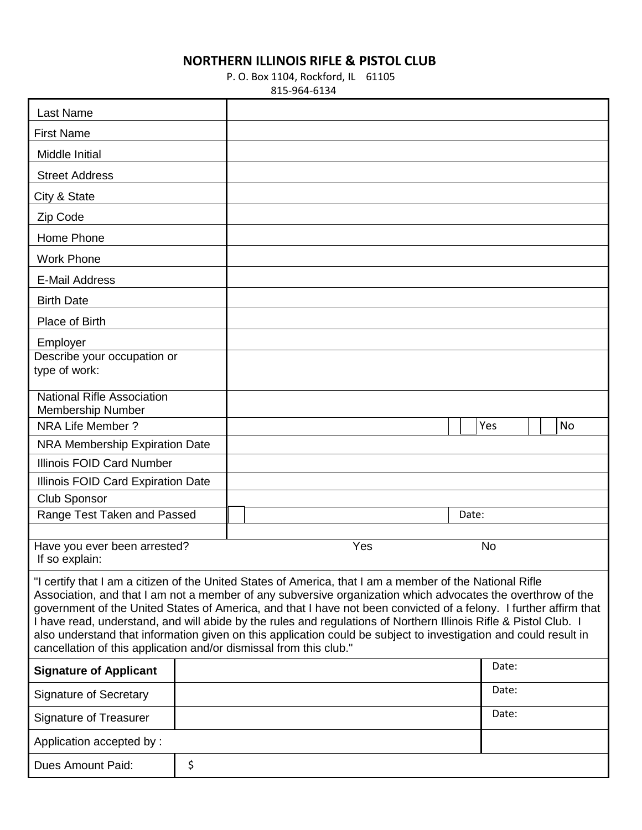## **NORTHERN ILLINOIS RIFLE & PISTOL CLUB**

## P. O. Box 1104, Rockford, IL 61105

815-964-6134

| <b>Last Name</b>                                                                                                                                                                                                                                                                                                                                                                                                                                                                                                                                                                                                                                           |    |  |  |  |  |     |  |  |       |           |  |    |
|------------------------------------------------------------------------------------------------------------------------------------------------------------------------------------------------------------------------------------------------------------------------------------------------------------------------------------------------------------------------------------------------------------------------------------------------------------------------------------------------------------------------------------------------------------------------------------------------------------------------------------------------------------|----|--|--|--|--|-----|--|--|-------|-----------|--|----|
| <b>First Name</b>                                                                                                                                                                                                                                                                                                                                                                                                                                                                                                                                                                                                                                          |    |  |  |  |  |     |  |  |       |           |  |    |
| Middle Initial                                                                                                                                                                                                                                                                                                                                                                                                                                                                                                                                                                                                                                             |    |  |  |  |  |     |  |  |       |           |  |    |
| <b>Street Address</b>                                                                                                                                                                                                                                                                                                                                                                                                                                                                                                                                                                                                                                      |    |  |  |  |  |     |  |  |       |           |  |    |
| City & State                                                                                                                                                                                                                                                                                                                                                                                                                                                                                                                                                                                                                                               |    |  |  |  |  |     |  |  |       |           |  |    |
| Zip Code                                                                                                                                                                                                                                                                                                                                                                                                                                                                                                                                                                                                                                                   |    |  |  |  |  |     |  |  |       |           |  |    |
| Home Phone                                                                                                                                                                                                                                                                                                                                                                                                                                                                                                                                                                                                                                                 |    |  |  |  |  |     |  |  |       |           |  |    |
| <b>Work Phone</b>                                                                                                                                                                                                                                                                                                                                                                                                                                                                                                                                                                                                                                          |    |  |  |  |  |     |  |  |       |           |  |    |
| <b>E-Mail Address</b>                                                                                                                                                                                                                                                                                                                                                                                                                                                                                                                                                                                                                                      |    |  |  |  |  |     |  |  |       |           |  |    |
| <b>Birth Date</b>                                                                                                                                                                                                                                                                                                                                                                                                                                                                                                                                                                                                                                          |    |  |  |  |  |     |  |  |       |           |  |    |
| Place of Birth                                                                                                                                                                                                                                                                                                                                                                                                                                                                                                                                                                                                                                             |    |  |  |  |  |     |  |  |       |           |  |    |
| Employer                                                                                                                                                                                                                                                                                                                                                                                                                                                                                                                                                                                                                                                   |    |  |  |  |  |     |  |  |       |           |  |    |
| Describe your occupation or<br>type of work:                                                                                                                                                                                                                                                                                                                                                                                                                                                                                                                                                                                                               |    |  |  |  |  |     |  |  |       |           |  |    |
|                                                                                                                                                                                                                                                                                                                                                                                                                                                                                                                                                                                                                                                            |    |  |  |  |  |     |  |  |       |           |  |    |
| <b>National Rifle Association</b><br>Membership Number                                                                                                                                                                                                                                                                                                                                                                                                                                                                                                                                                                                                     |    |  |  |  |  |     |  |  |       |           |  |    |
| NRA Life Member ?                                                                                                                                                                                                                                                                                                                                                                                                                                                                                                                                                                                                                                          |    |  |  |  |  |     |  |  |       | Yes       |  | No |
| NRA Membership Expiration Date                                                                                                                                                                                                                                                                                                                                                                                                                                                                                                                                                                                                                             |    |  |  |  |  |     |  |  |       |           |  |    |
| <b>Illinois FOID Card Number</b>                                                                                                                                                                                                                                                                                                                                                                                                                                                                                                                                                                                                                           |    |  |  |  |  |     |  |  |       |           |  |    |
| Illinois FOID Card Expiration Date                                                                                                                                                                                                                                                                                                                                                                                                                                                                                                                                                                                                                         |    |  |  |  |  |     |  |  |       |           |  |    |
| <b>Club Sponsor</b>                                                                                                                                                                                                                                                                                                                                                                                                                                                                                                                                                                                                                                        |    |  |  |  |  |     |  |  |       |           |  |    |
| Range Test Taken and Passed                                                                                                                                                                                                                                                                                                                                                                                                                                                                                                                                                                                                                                |    |  |  |  |  |     |  |  | Date: |           |  |    |
| Have you ever been arrested?<br>If so explain:                                                                                                                                                                                                                                                                                                                                                                                                                                                                                                                                                                                                             |    |  |  |  |  | Yes |  |  |       | <b>No</b> |  |    |
| "I certify that I am a citizen of the United States of America, that I am a member of the National Rifle<br>Association, and that I am not a member of any subversive organization which advocates the overthrow of the<br>government of the United States of America, and that I have not been convicted of a felony. I further affirm that<br>I have read, understand, and will abide by the rules and regulations of Northern Illinois Rifle & Pistol Club. I<br>also understand that information given on this application could be subject to investigation and could result in<br>cancellation of this application and/or dismissal from this club." |    |  |  |  |  |     |  |  |       |           |  |    |
| <b>Signature of Applicant</b>                                                                                                                                                                                                                                                                                                                                                                                                                                                                                                                                                                                                                              |    |  |  |  |  |     |  |  |       | Date:     |  |    |
| <b>Signature of Secretary</b>                                                                                                                                                                                                                                                                                                                                                                                                                                                                                                                                                                                                                              |    |  |  |  |  |     |  |  |       | Date:     |  |    |
| <b>Signature of Treasurer</b>                                                                                                                                                                                                                                                                                                                                                                                                                                                                                                                                                                                                                              |    |  |  |  |  |     |  |  |       | Date:     |  |    |
| Application accepted by:                                                                                                                                                                                                                                                                                                                                                                                                                                                                                                                                                                                                                                   |    |  |  |  |  |     |  |  |       |           |  |    |
| <b>Dues Amount Paid:</b>                                                                                                                                                                                                                                                                                                                                                                                                                                                                                                                                                                                                                                   | \$ |  |  |  |  |     |  |  |       |           |  |    |